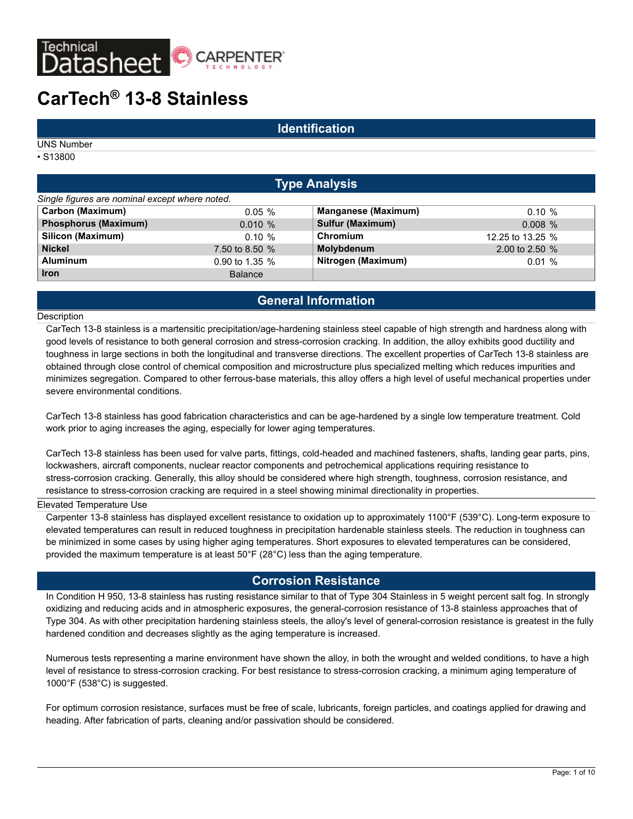

#### **Identification**

UNS Number

• S13800

| <b>Type Analysis</b>                           |                |                            |                  |  |
|------------------------------------------------|----------------|----------------------------|------------------|--|
| Single figures are nominal except where noted. |                |                            |                  |  |
| <b>Carbon (Maximum)</b>                        | $0.05 \%$      | <b>Manganese (Maximum)</b> | $0.10 \%$        |  |
| <b>Phosphorus (Maximum)</b>                    | $0.010 \%$     | Sulfur (Maximum)           | 0.008%           |  |
| <b>Silicon (Maximum)</b>                       | $0.10 \%$      | Chromium                   | 12.25 to 13.25 % |  |
| <b>Nickel</b>                                  | 7.50 to 8.50 % | Molybdenum                 | 2.00 to 2.50 %   |  |
| <b>Aluminum</b>                                | 0.90 to 1.35 % | Nitrogen (Maximum)         | 0.01%            |  |
| <b>Iron</b>                                    | <b>Balance</b> |                            |                  |  |

## **General Information**

#### **Description**

CarTech 13-8 stainless is a martensitic precipitation/age-hardening stainless steel capable of high strength and hardness along with good levels of resistance to both general corrosion and stress-corrosion cracking. In addition, the alloy exhibits good ductility and toughness in large sections in both the longitudinal and transverse directions. The excellent properties of CarTech 13-8 stainless are obtained through close control of chemical composition and microstructure plus specialized melting which reduces impurities and minimizes segregation. Compared to other ferrous-base materials, this alloy offers a high level of useful mechanical properties under severe environmental conditions.

CarTech 13-8 stainless has good fabrication characteristics and can be age-hardened by a single low temperature treatment. Cold work prior to aging increases the aging, especially for lower aging temperatures.

CarTech 13-8 stainless has been used for valve parts, fittings, cold-headed and machined fasteners, shafts, landing gear parts, pins, lockwashers, aircraft components, nuclear reactor components and petrochemical applications requiring resistance to stress-corrosion cracking. Generally, this alloy should be considered where high strength, toughness, corrosion resistance, and resistance to stress-corrosion cracking are required in a steel showing minimal directionality in properties.

#### Elevated Temperature Use

Carpenter 13-8 stainless has displayed excellent resistance to oxidation up to approximately 1100°F (539°C). Long-term exposure to elevated temperatures can result in reduced toughness in precipitation hardenable stainless steels. The reduction in toughness can be minimized in some cases by using higher aging temperatures. Short exposures to elevated temperatures can be considered, provided the maximum temperature is at least 50°F (28°C) less than the aging temperature.

#### **Corrosion Resistance**

In Condition H 950, 13-8 stainless has rusting resistance similar to that of Type 304 Stainless in 5 weight percent salt fog. In strongly oxidizing and reducing acids and in atmospheric exposures, the general-corrosion resistance of 13-8 stainless approaches that of Type 304. As with other precipitation hardening stainless steels, the alloy's level of general-corrosion resistance is greatest in the fully hardened condition and decreases slightly as the aging temperature is increased.

Numerous tests representing a marine environment have shown the alloy, in both the wrought and welded conditions, to have a high level of resistance to stress-corrosion cracking. For best resistance to stress-corrosion cracking, a minimum aging temperature of 1000°F (538°C) is suggested.

For optimum corrosion resistance, surfaces must be free of scale, lubricants, foreign particles, and coatings applied for drawing and heading. After fabrication of parts, cleaning and/or passivation should be considered.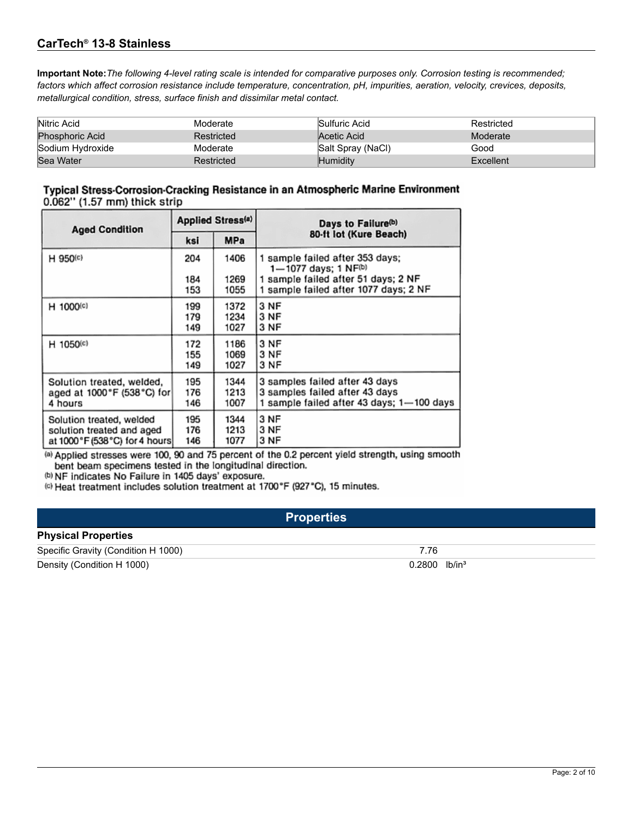**Important Note:***The following 4-level rating scale is intended for comparative purposes only. Corrosion testing is recommended; factors which affect corrosion resistance include temperature, concentration, pH, impurities, aeration, velocity, crevices, deposits, metallurgical condition, stress, surface finish and dissimilar metal contact.*

| Nitric Acid            | Moderate   | Sulfuric Acid     | Restricted |
|------------------------|------------|-------------------|------------|
| <b>Phosphoric Acid</b> | Restricted | Acetic Acid       | Moderate   |
| Sodium Hydroxide       | Moderate   | Salt Spray (NaCl) | Good       |
| Sea Water              | Restricted | Humidity          | Excellent  |

#### Typical Stress-Corrosion-Cracking Resistance in an Atmospheric Marine Environment 0.062" (1.57 mm) thick strip

| <b>Aged Condition</b>         | <b>Applied Stress(a)</b> |              | Days to Failure <sup>(b)</sup>                                                                 |  |  |
|-------------------------------|--------------------------|--------------|------------------------------------------------------------------------------------------------|--|--|
|                               | <b>MPa</b><br>ksi        |              | 80-ft lot (Kure Beach)                                                                         |  |  |
| H 950(c)                      | 204<br>184               | 1406<br>1269 | 1 sample failed after 353 days;<br>1-1077 days; 1 NF(b)<br>1 sample failed after 51 days; 2 NF |  |  |
|                               | 153                      | 1055         | 1 sample failed after 1077 days; 2 NF                                                          |  |  |
| H 1000(c)                     | 199                      | 1372         | 3 NF                                                                                           |  |  |
|                               | 179                      | 1234         | 3 NF                                                                                           |  |  |
|                               | 149                      | 1027         | 3 NF                                                                                           |  |  |
| H 1050(c)                     | 172                      | 1186         | 3 NF                                                                                           |  |  |
|                               | 155                      | 1069         | 3 NF                                                                                           |  |  |
|                               | 149                      | 1027         | 3 NF                                                                                           |  |  |
| Solution treated, welded,     | 195                      | 1344         | 3 samples failed after 43 days                                                                 |  |  |
| aged at 1000°F (538°C) for    | 176                      | 1213         | 3 samples failed after 43 days                                                                 |  |  |
| 4 hours                       | 146                      | 1007         | 1 sample failed after 43 days; 1-100 days                                                      |  |  |
| Solution treated, welded      | 195                      | 1344         | 3 NF                                                                                           |  |  |
| solution treated and aged     | 176                      | 1213         | 3 NF                                                                                           |  |  |
| at 1000°F (538°C) for 4 hours | 146                      | 1077         | 3 NF                                                                                           |  |  |

(a) Applied stresses were 100, 90 and 75 percent of the 0.2 percent yield strength, using smooth bent beam specimens tested in the longitudinal direction.

(b) NF indicates No Failure in 1405 days' exposure.

(c) Heat treatment includes solution treatment at 1700°F (927°C), 15 minutes.

## **Properties**

#### **Physical Properties**

| Specific Gravity (Condition H 1000) |                             |
|-------------------------------------|-----------------------------|
| Density (Condition H 1000)          | lb/in $^3$<br><u>.2800 </u> |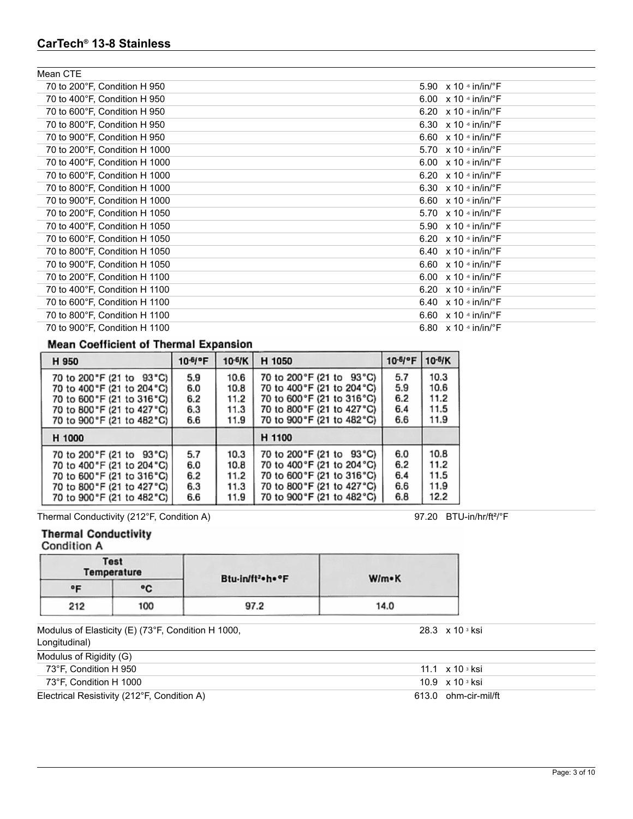| Mean CTE                      |                                           |
|-------------------------------|-------------------------------------------|
| 70 to 200°F, Condition H 950  | 5.90 $\times$ 10 $\cdot$ in/in/ $\cdot$ F |
| 70 to 400°F, Condition H 950  | 6.00 $\times$ 10 $\cdot$ in/in/ $\cdot$ F |
| 70 to 600°F, Condition H 950  | 6.20 $\times$ 10 $\cdot$ in/in/ $\cdot$ F |
| 70 to 800°F, Condition H 950  | 6.30 $\times$ 10 $\cdot$ in/in/ $\cdot$ F |
| 70 to 900°F, Condition H 950  | 6.60 $\times$ 10 $\cdot$ in/in/ $\cdot$ F |
| 70 to 200°F, Condition H 1000 | 5.70 $\times$ 10 $\cdot$ in/in/ $\cdot$ F |
| 70 to 400°F, Condition H 1000 | 6.00 $\times$ 10 $\cdot$ in/in/ $\cdot$ F |
| 70 to 600°F, Condition H 1000 | 6.20 $\times$ 10 $\cdot$ in/in/ $\cdot$ F |
| 70 to 800°F, Condition H 1000 | 6.30 $\times$ 10 $\cdot$ in/in/ $\cdot$ F |
| 70 to 900°F, Condition H 1000 | 6.60 $\times$ 10 $\cdot$ in/in/ $\cdot$ F |
| 70 to 200°F, Condition H 1050 | 5.70 $\times$ 10 $\cdot$ in/in/ $\cdot$ F |
| 70 to 400°F, Condition H 1050 | 5.90 $\times$ 10 $\cdot$ in/in/ $\cdot$ F |
| 70 to 600°F, Condition H 1050 | 6.20 $\times$ 10 $\cdot$ in/in/ $\cdot$ F |
| 70 to 800°F, Condition H 1050 | 6.40 $\times$ 10 $\cdot$ in/in/ $\cdot$ F |
| 70 to 900°F, Condition H 1050 | 6.60 $\times$ 10 $\cdot$ in/in/ $\cdot$ F |
| 70 to 200°F, Condition H 1100 | 6.00 $\times$ 10 $\cdot$ in/in/ $\cdot$ F |
| 70 to 400°F, Condition H 1100 | 6.20 $\times$ 10 $\cdot$ in/in/ $\cdot$ F |
| 70 to 600°F, Condition H 1100 | 6.40 $\times$ 10 $\cdot$ in/in/ $\cdot$ F |
| 70 to 800°F, Condition H 1100 | 6.60 $\times$ 10 $\cdot$ in/in/ $\cdot$ F |
| 70 to 900°F, Condition H 1100 | 6.80 $\times$ 10 $\cdot$ in/in/ $\cdot$ F |
|                               |                                           |

## **Mean Coefficient of Thermal Expansion**

| H 950                       | 10-6/°F | 10- <sup>6</sup> /K | H 1050                      | $10-6$ $F$ | 10-6/K |
|-----------------------------|---------|---------------------|-----------------------------|------------|--------|
| 70 to 200 "F (21 to 93 "C)  | 5.9     | 10.6                | 70 to 200 °F (21 to 93 °C)  | 5.7        | 10.3   |
| 70 to 400 °F (21 to 204 °C) | 6.0     | 10.8                | 70 to 400°F (21 to 204°C)   | 5.9        | 10.6   |
| 70 to 600 °F (21 to 316 °C) | 6.2     | 11.2                | 70 to 600°F (21 to 316°C)   | 6.2        | 11.2   |
| 70 to 800 °F (21 to 427 °C) | 6.3     | 11.3                | 70 to 800°F (21 to 427°C)   | 6.4        | 11.5   |
| 70 to 900 °F (21 to 482 °C) | 6.6     | 11.9                | 70 to 900°F (21 to 482°C)   | 6.6        | 11.9   |
| H 1000                      |         |                     | H 1100                      |            |        |
| 70 to 200 °F (21 to 93 °C)  | 5.7     | 10.3                | 70 to 200 °F (21 to 93 °C)  | 6.0        | 10.8   |
| 70 to 400 °F (21 to 204 °C) | 6.0     | 10.8                | 70 to 400 °F (21 to 204 °C) | 6.2        | 11.2   |
| 70 to 600 °F (21 to 316 °C) | 6.2     | 11.2                | 70 to 600 °F (21 to 316 °C) | 6.4        | 11.5   |
| 70 to 800 °F (21 to 427 °C) | 6.3     | 11.3                | 70 to 800 °F (21 to 427 °C) | 6.6        | 11.9   |
| 70 to 900 °F (21 to 482 °C) | 6.6     | 11.9                | 70 to 900 °F (21 to 482 °C) | 6.8        | 12.2   |

Thermal Conductivity (212°F, Condition A) 97.20 BTU-in/hr/ft<sup>2</sup>/°F

## **Thermal Conductivity**

Condition A

|     | <b>Test</b><br><b>Temperature</b> | Btu-in/ft <sup>2</sup> h ** F | W/m•K |  |
|-----|-----------------------------------|-------------------------------|-------|--|
| ۰F  | ۰c                                |                               |       |  |
| 212 | 100                               | 97.2                          | 14.0  |  |

Modulus of Elasticity (E) (73°F, Condition H 1000, Longitudinal)

| Modulus of Rigidity (G)                     |                      |
|---------------------------------------------|----------------------|
| 73°F. Condition H 950                       | 11.1 x 10 sksi       |
| 73°F. Condition H 1000                      | 10.9 x 10 s ksi      |
| Electrical Resistivity (212°F, Condition A) | 613.0 ohm-cir-mil/ft |

28.3 x 10 <sup>3</sup> ksi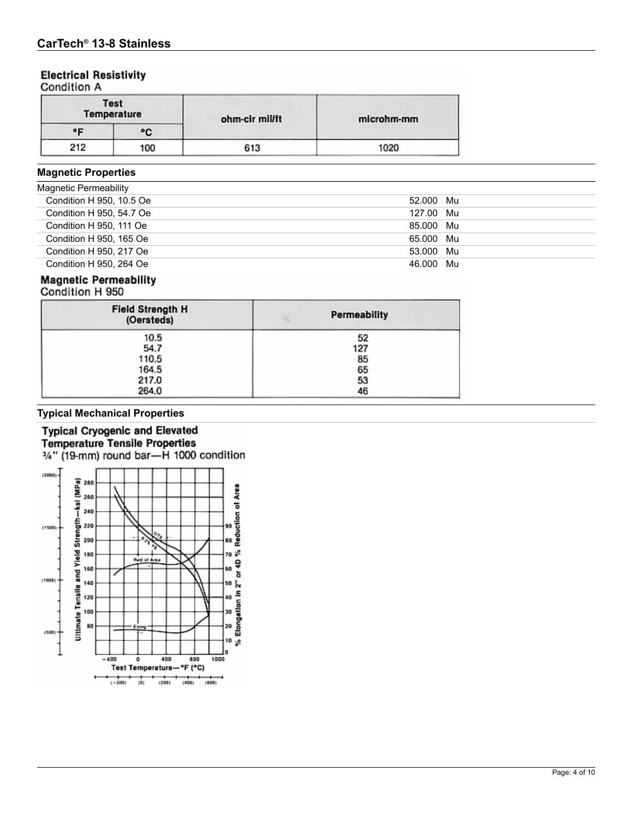## **Electrical Resistivity**

Condition A

|     | <b>Test</b><br>Temperature | ohm-cir mil/ft | microhm-mm |  |  |
|-----|----------------------------|----------------|------------|--|--|
| ᅂ   | ۰c                         |                |            |  |  |
| 212 | 100                        | 613            | 1020       |  |  |

## **Magnetic Properties**

| Magnetic Permeability    |           |
|--------------------------|-----------|
| Condition H 950, 10.5 Oe | 52.000 Mu |
| Condition H 950, 54.7 Oe | 127.00 Mu |
| Condition H 950, 111 Oe  | 85.000 Mu |
| Condition H 950, 165 Oe  | 65.000 Mu |
| Condition H 950, 217 Oe  | 53.000 Mu |
| Condition H 950, 264 Oe  | 46.000 Mu |

## **Magnetic Permeability**

| Coughtion H app |  |  |  |
|-----------------|--|--|--|
|                 |  |  |  |

| <b>Field Strength H</b><br>(Oersteds) | <b>Permeability</b> |  |
|---------------------------------------|---------------------|--|
| 10.5                                  | 52                  |  |
| 54.7                                  | 127                 |  |
| 110.5                                 | 85                  |  |
| 164.5                                 | 65                  |  |
| 217.0                                 | 53                  |  |
| 264.0                                 | 46                  |  |

## **Typical Mechanical Properties**

#### **Typical Cryogenic and Elevated Temperature Tensile Properties** 3/4" (19-mm) round bar-H 1000 condition

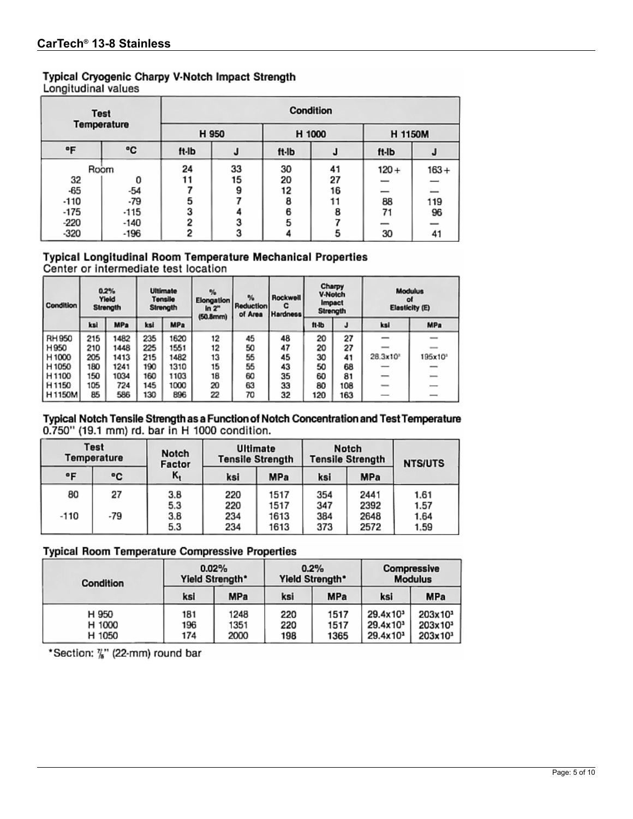## Typical Cryogenic Charpy V-Notch Impact Strength

Longitudinal values

|        | <b>Test</b><br><b>Temperature</b> |                     | Condition |        |    |         |                          |  |  |  |  |
|--------|-----------------------------------|---------------------|-----------|--------|----|---------|--------------------------|--|--|--|--|
|        |                                   | H 950               |           | H 1000 |    | H 1150M |                          |  |  |  |  |
| ۰F     | ۰c                                | ft-lb               | J         | ft-lb  | J  | ft-lb   | J                        |  |  |  |  |
|        | Room                              | 24                  | 33        | 30     | 41 | $120 +$ | $163 +$                  |  |  |  |  |
| 32     | 0                                 | 11                  | 15        | 20     | 27 |         |                          |  |  |  |  |
| $-65$  | -54                               |                     | 9         | 12     | 16 |         | $\overline{\phantom{0}}$ |  |  |  |  |
| $-110$ | $-79$                             | 5                   |           | 8      | 11 | 88      | 119                      |  |  |  |  |
| -175   | -115                              | 3                   |           | 6      | 8  | 71      | 96                       |  |  |  |  |
| -220   | -140                              | $\overline{2}$<br>o |           | 5      |    | -       |                          |  |  |  |  |
| -320   | -196                              | $\overline{2}$      |           |        | 5  | 30      | 41                       |  |  |  |  |

# Typical Longitudinal Room Temperature Mechanical Properties<br>Center or intermediate test location

| <b>Condition</b>  |     | 0.2%<br>Yield<br>Strength |     | <b>Ultimate</b><br><b>Tensile</b><br>Strength | $\frac{1}{2}$<br><b>Elongation</b><br>ln 2 <sup>m</sup><br>$(50.8$ mm $)$ | $\frac{1}{2}$<br><b>Reduction</b><br>of Area | Rockwell<br>c<br>Hardness | Charpy<br><b>Modulus</b><br><b>V-Notch</b><br>of<br><i><b>Impact</b></i><br>Elasticity (E)<br><b>Strength</b> |     |                          |                     |
|-------------------|-----|---------------------------|-----|-----------------------------------------------|---------------------------------------------------------------------------|----------------------------------------------|---------------------------|---------------------------------------------------------------------------------------------------------------|-----|--------------------------|---------------------|
|                   | kal | <b>MPa</b>                | ksi | <b>MPa</b>                                    |                                                                           |                                              |                           | $n-b$                                                                                                         | J   | ksi                      | <b>MPa</b>          |
| RH 950            | 215 | 1482                      | 235 | 1620                                          | 12                                                                        | 45                                           | 48                        | 20                                                                                                            | 27  |                          |                     |
| H950              | 210 | 1448                      | 225 | 1551                                          | 12                                                                        | 50                                           | 47                        | 20                                                                                                            | 27  |                          |                     |
| H <sub>1000</sub> | 205 | 1413                      | 215 | 1482                                          | 13                                                                        | 55                                           | 45                        | 30                                                                                                            | 41  | 28.3x10°                 | 195x10 <sup>*</sup> |
| H 1050            | 180 | 1241                      | 190 | 1310                                          | 15                                                                        | 55                                           | 43                        | 50                                                                                                            | 68  |                          |                     |
| H <sub>1100</sub> | 150 | 1034                      | 160 | 1103                                          | 18                                                                        | 60                                           | 35                        | 60                                                                                                            | 81  | $\overline{\phantom{a}}$ |                     |
| H <sub>1150</sub> | 105 | 724                       | 145 | 1000                                          | 20                                                                        | 63                                           | 33                        | 80                                                                                                            | 108 | $\sim$                   |                     |
| H1150M            | 85  | 586                       | 130 | 896                                           | 22                                                                        | 70                                           | 32                        | 120                                                                                                           | 163 | -                        |                     |

## Typical Notch Tensile Strength as a Function of Notch Concentration and Test Temperature 0.750" (19.1 mm) rd. bar in H 1000 condition.

| <b>Test</b><br>Temperature |     | Notch<br>Factor |            | <b>Ultimate</b><br><b>Tensile Strength</b> |            | Notch<br><b>Tensile Strength</b> | <b>NTS/UTS</b> |  |
|----------------------------|-----|-----------------|------------|--------------------------------------------|------------|----------------------------------|----------------|--|
| ۰F                         | ۰c  | ĸ,              | ksi        | <b>MPa</b>                                 | ksi        | <b>MPa</b>                       |                |  |
| 80                         | 27  | 3.8<br>5.3      | 220<br>220 | 1517<br>1517                               | 354<br>347 | 2441<br>2392                     | 1.61<br>1.57   |  |
| -110                       | -79 | 3.8<br>5.3      | 234<br>234 | 1613<br>1613                               | 384<br>373 | 2648<br>2572                     | 1.64<br>1.59   |  |

## **Typical Room Temperature Compressive Properties**

| Condition                 | 0.02%<br>Yield Strength* |                      |                   | 0.2%<br>Yield Strength* | <b>Compressive</b><br><b>Modulus</b>                                 |                                                          |  |
|---------------------------|--------------------------|----------------------|-------------------|-------------------------|----------------------------------------------------------------------|----------------------------------------------------------|--|
|                           | ksi                      | <b>MPa</b>           | ksi               | MPa                     | ksi                                                                  | <b>MPa</b>                                               |  |
| H 950<br>H 1000<br>H 1050 | 181<br>196<br>174        | 1248<br>1351<br>2000 | 220<br>220<br>198 | 1517<br>1517<br>1365    | 29.4x10 <sup>3</sup><br>29.4x10 <sup>3</sup><br>29.4x10 <sup>3</sup> | 203x10 <sup>3</sup><br>203x10 <sup>3</sup><br>$203x10^3$ |  |

\*Section: "" (22-mm) round bar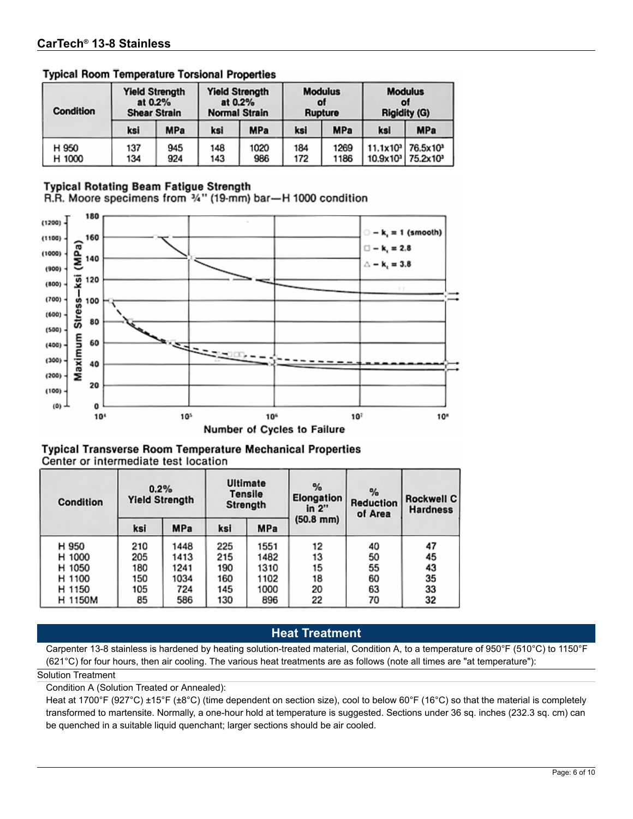| <b>Condition</b> | <b>Yield Strength</b><br>at 0.2%<br><b>Shear Strain</b> |            | <b>Yield Strength</b><br>at 0.2%<br><b>Normal Strain</b> |             | <b>Modulus</b><br>of<br>Rupture |              | <b>Modulus</b><br>٥l<br><b>Rigidity (G)</b> |                                                                   |
|------------------|---------------------------------------------------------|------------|----------------------------------------------------------|-------------|---------------------------------|--------------|---------------------------------------------|-------------------------------------------------------------------|
|                  | ksi                                                     | <b>MPa</b> | ksi                                                      | <b>MPa</b>  | ksi                             | <b>MPa</b>   | ksi                                         | <b>MPa</b>                                                        |
| H 950<br>H 1000  | 137<br>134                                              | 945<br>924 | 148<br>143                                               | 1020<br>986 | 184<br>172                      | 1269<br>1186 | 11.1x10 <sup>3</sup>                        | 76.5x10 <sup>3</sup><br>10.9x10 <sup>3</sup> 75.2x10 <sup>3</sup> |

## **Typical Room Temperature Torsional Properties**

## **Typical Rotating Beam Fatigue Strength**

R.R. Moore specimens from 3/4" (19-mm) bar-H 1000 condition



| <b>Typical Transverse Room Temperature Mechanical Properties</b> |  |  |
|------------------------------------------------------------------|--|--|
| Center or intermediate test location                             |  |  |

| Condition | 0.2%<br><b>Yield Strength</b> |      | <b>Ultimate</b><br><b>Tensile</b><br>Strength |      | %<br>Elongation<br>in 2" | %<br>Reduction<br>of Area | <b>Rockwell C</b><br><b>Hardness</b> |  |
|-----------|-------------------------------|------|-----------------------------------------------|------|--------------------------|---------------------------|--------------------------------------|--|
|           | ksi                           | MPa  | ksi                                           | MPa  | $(50.8$ mm)              |                           |                                      |  |
| H 950     | 210                           | 1448 | 225                                           | 1551 | 12                       | 40                        | 47                                   |  |
| H 1000    | 205                           | 1413 | 215                                           | 1482 | 13                       | 50                        | 45                                   |  |
| H 1050    | 180                           | 1241 | 190                                           | 1310 | 15                       | 55                        | 43                                   |  |
| H 1100    | 150                           | 1034 | 160                                           | 1102 | 18                       | 60                        | 35                                   |  |
| H 1150    | 105                           | 724  | 145                                           | 1000 | 20                       | 63                        | 33                                   |  |
| H 1150M   | 85                            | 586  | 130                                           | 896  | 22                       | 70                        | 32                                   |  |

## **Heat Treatment**

Carpenter 13-8 stainless is hardened by heating solution-treated material, Condition A, to a temperature of 950°F (510°C) to 1150°F (621°C) for four hours, then air cooling. The various heat treatments are as follows (note all times are "at temperature"):

#### Solution Treatment

Condition A (Solution Treated or Annealed):

Heat at 1700°F (927°C) ±15°F (±8°C) (time dependent on section size), cool to below 60°F (16°C) so that the material is completely transformed to martensite. Normally, a one-hour hold at temperature is suggested. Sections under 36 sq. inches (232.3 sq. cm) can be quenched in a suitable liquid quenchant; larger sections should be air cooled.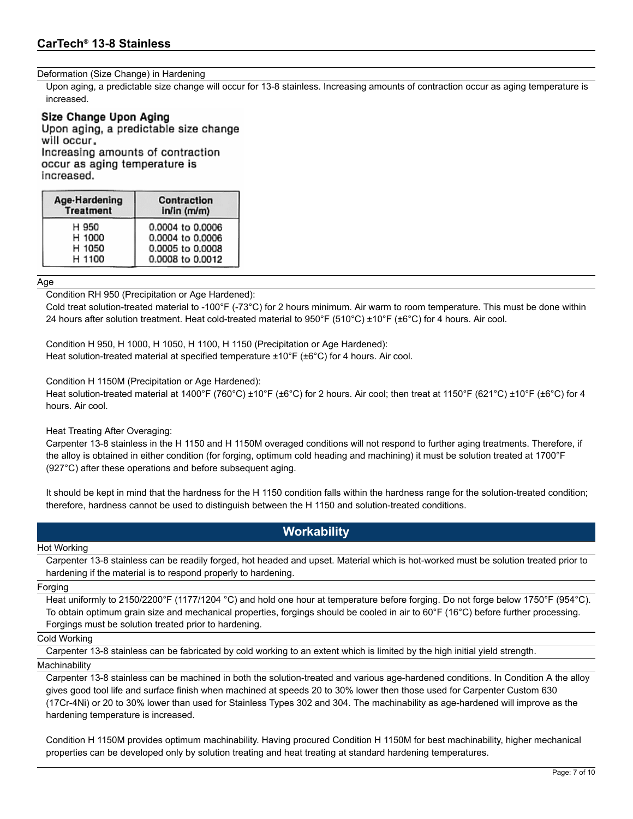#### Deformation (Size Change) in Hardening

Upon aging, a predictable size change will occur for 13-8 stainless. Increasing amounts of contraction occur as aging temperature is increased.

#### Size Change Upon Aging

Upon aging, a predictable size change will occur. Increasing amounts of contraction occur as aging temperature is increased.

| Age-Hardening    | Contraction      |
|------------------|------------------|
| <b>Treatment</b> | in/in (m/m)      |
| H 950            | 0.0004 to 0.0006 |
| H 1000           | 0.0004 to 0.0006 |
| H 1050           | 0.0005 to 0.0008 |
| H 1100           | 0.0008 to 0.0012 |

#### Age

Condition RH 950 (Precipitation or Age Hardened):

Cold treat solution-treated material to -100°F (-73°C) for 2 hours minimum. Air warm to room temperature. This must be done within 24 hours after solution treatment. Heat cold-treated material to  $950^{\circ}F (510^{\circ}C) \pm 10^{\circ}F (\pm 6^{\circ}C)$  for 4 hours. Air cool.

Condition H 950, H 1000, H 1050, H 1100, H 1150 (Precipitation or Age Hardened): Heat solution-treated material at specified temperature ±10°F (±6°C) for 4 hours. Air cool.

#### Condition H 1150M (Precipitation or Age Hardened):

Heat solution-treated material at 1400°F (760°C) ±10°F (±6°C) for 2 hours. Air cool; then treat at 1150°F (621°C) ±10°F (±6°C) for 4 hours. Air cool.

#### Heat Treating After Overaging:

Carpenter 13-8 stainless in the H 1150 and H 1150M overaged conditions will not respond to further aging treatments. Therefore, if the alloy is obtained in either condition (for forging, optimum cold heading and machining) it must be solution treated at 1700°F (927°C) after these operations and before subsequent aging.

It should be kept in mind that the hardness for the H 1150 condition falls within the hardness range for the solution-treated condition; therefore, hardness cannot be used to distinguish between the H 1150 and solution-treated conditions.

## **Workability**

#### Hot Working

Carpenter 13-8 stainless can be readily forged, hot headed and upset. Material which is hot-worked must be solution treated prior to hardening if the material is to respond properly to hardening.

#### Forging

Heat uniformly to 2150/2200°F (1177/1204 °C) and hold one hour at temperature before forging. Do not forge below 1750°F (954°C). To obtain optimum grain size and mechanical properties, forgings should be cooled in air to 60°F (16°C) before further processing. Forgings must be solution treated prior to hardening.

#### Cold Working

Carpenter 13-8 stainless can be fabricated by cold working to an extent which is limited by the high initial yield strength.

#### **Machinability**

Carpenter 13-8 stainless can be machined in both the solution-treated and various age-hardened conditions. In Condition A the alloy gives good tool life and surface finish when machined at speeds 20 to 30% lower then those used for Carpenter Custom 630 (17Cr-4Ni) or 20 to 30% lower than used for Stainless Types 302 and 304. The machinability as age-hardened will improve as the hardening temperature is increased.

Condition H 1150M provides optimum machinability. Having procured Condition H 1150M for best machinability, higher mechanical properties can be developed only by solution treating and heat treating at standard hardening temperatures.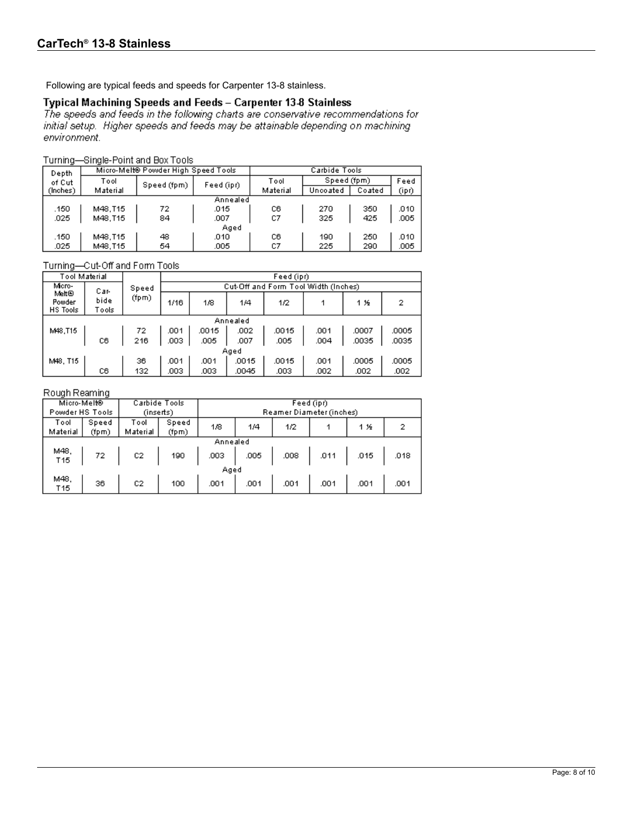Following are typical feeds and speeds for Carpenter 13-8 stainless.

#### Typical Machining Speeds and Feeds - Carpenter 13-8 Stainless

The speeds and feeds in the following charts are conservative recommendations for initial setup. Higher speeds and feeds may be attainable depending on machining environment.

#### Turning-Single-Point and Box Tools

| .        |          |                                     |            |               |             |        |       |  |
|----------|----------|-------------------------------------|------------|---------------|-------------|--------|-------|--|
| Depth    |          | Micro-Melt® Powder High Speed Tools |            | Carbide Tools |             |        |       |  |
| of Cut   | Tool     | Speed (fpm)                         | Feed (ipr) | Tool          | Speed (fpm) |        | Feed  |  |
| (Inches) | Material |                                     |            | Material      | Uncoated    | Coated | (ipr) |  |
|          |          |                                     | Annealed   |               |             |        |       |  |
| .150     | M48.T15  | 72                                  | .015       | CВ            | 270         | 350    | .010  |  |
| .025     | M48.T15  | 84                                  | .007       | C7            | 325         | 425    | .005  |  |
|          |          |                                     | Aged       |               |             |        |       |  |
| .150     | M48.T15  | 48                                  | .010       | CВ            | 190         | 250    | .010  |  |
| .025     | M48.T15  | 54                                  | .005       | C7            | 225         | 290    | .005  |  |
|          |          |                                     |            |               |             |        |       |  |

#### Turning-Cut-Off and Form Tools

| Tool Material               |               |       |      | Feed (ipr)                           |       |       |      |       |       |  |  |
|-----------------------------|---------------|-------|------|--------------------------------------|-------|-------|------|-------|-------|--|--|
| Micro-                      | Car-          | Speed |      | Cut-Off and Form Tool Width (Inches) |       |       |      |       |       |  |  |
| Melt®<br>Powder<br>HS Tools | bide<br>Tools | (fpm) | 1/16 | 1/8                                  | 1/4   | 1/2   |      | 1 %   | 2     |  |  |
|                             | Annealed      |       |      |                                      |       |       |      |       |       |  |  |
| M48.T15                     |               | 72.   | .001 | .0015                                | .002  | .0015 | .001 | .0007 | .0005 |  |  |
|                             | C6            | 216   | .003 | .005                                 | .007  | .005  | .004 | .0035 | .0035 |  |  |
|                             |               |       |      |                                      | Aged  |       |      |       |       |  |  |
| M48. T15                    |               | 36.   | .001 | .001                                 | .0015 | .0015 | .001 | .0005 | .0005 |  |  |
|                             | C6            | 132   | .003 | .003                                 | .0045 | .003  | .002 | .002  | .002  |  |  |

#### Rough Reaming

| Micro-Melt®             |                | Carbide Tools    |                | Feed (ipr)               |      |      |                      |      |      |
|-------------------------|----------------|------------------|----------------|--------------------------|------|------|----------------------|------|------|
| Powder HS Tools         |                | (inserts)        |                | Reamer Diameter (inches) |      |      |                      |      |      |
| Tool<br>Material        | Speed<br>(fpm) | Tool<br>Material | Speed<br>(fpm) | 1/8                      | 1/4  | 1/2  |                      | 1 %  |      |
| Annealed                |                |                  |                |                          |      |      |                      |      |      |
| Μ48,<br>T <sub>15</sub> | -72            | C2               | 190            | .003                     | .005 |      | $.008$ $.011$ $.011$ | .015 | .018 |
|                         |                |                  |                | Aged                     |      |      |                      |      |      |
| M48.<br>T15             | 36             | C <sub>2</sub>   | 100            | .001                     | .001 | .001 | .001                 | .001 | .001 |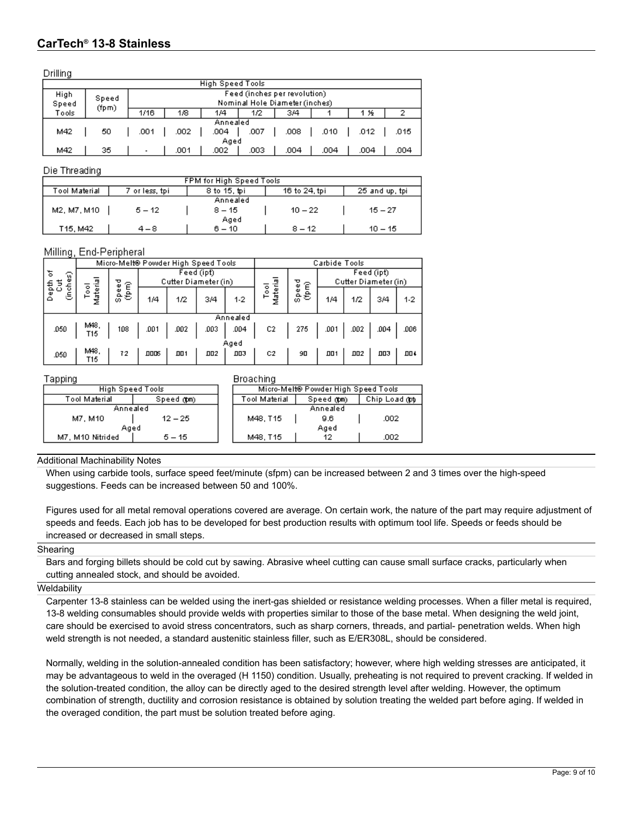Drilling

| ------                               |                         |                                                              |                                 |          |                                |      |      |      |      |  |  |
|--------------------------------------|-------------------------|--------------------------------------------------------------|---------------------------------|----------|--------------------------------|------|------|------|------|--|--|
|                                      | <b>High Speed Tools</b> |                                                              |                                 |          |                                |      |      |      |      |  |  |
| Feed (inches per revolution)<br>High |                         |                                                              |                                 |          |                                |      |      |      |      |  |  |
| Speed                                | Speed                   |                                                              |                                 |          | Nominal Hole Diameter (inches) |      |      |      |      |  |  |
| Tools                                | (fpm)                   | 1/16                                                         | 1/8<br>3/4<br>1/4<br>1/2<br>1 % |          |                                |      |      |      |      |  |  |
|                                      |                         |                                                              |                                 | Annealed |                                |      |      |      |      |  |  |
| M42                                  | 50                      | .002<br>.001<br>.004<br>.008<br>.010<br>.012<br>.007<br>.015 |                                 |          |                                |      |      |      |      |  |  |
|                                      | Aged                    |                                                              |                                 |          |                                |      |      |      |      |  |  |
| M42                                  | 35                      | $\overline{\phantom{a}}$                                     | .001                            | .002     | .003                           | .004 | .004 | .004 | .004 |  |  |

#### Die Threading

| <b>FPM for High Speed Tools</b> |                |              |               |                |  |  |  |
|---------------------------------|----------------|--------------|---------------|----------------|--|--|--|
| Tool Material                   | 7 or less, tpi | 8 to 15, toi | 16 to 24, tpi | 25 and up, tpi |  |  |  |
|                                 |                | Annealed     |               |                |  |  |  |
| M2, M7, M10                     | $5 - 12$       | $8 - 15$     | $10 - 22$     | $15 - 27$      |  |  |  |
|                                 | Aged           |              |               |                |  |  |  |
| T15, M42                        | 4 – 8          | $6 - 10$     | $8 - 12$      | $10 - 15$      |  |  |  |

#### Milling, End-Peripheral

|             | ⊣ ت           |                                     |              |                                    |      |            |               |                    |                                    |      |      |      |      |
|-------------|---------------|-------------------------------------|--------------|------------------------------------|------|------------|---------------|--------------------|------------------------------------|------|------|------|------|
|             |               | Micro-Melt® Powder High Speed Tools |              |                                    |      |            | Carbide Tools |                    |                                    |      |      |      |      |
| ৳<br>ଜ<br>ω |               | ᇽ                                   | ত<br>仺<br>Φ  | Feed (ipt)<br>Cutter Diameter (in) |      |            |               | ত                  | Feed (ipt)<br>Cutter Diameter (in) |      |      |      |      |
|             | 동형<br>이후<br>ε | ۰<br>읂<br>۰<br>Σ                    | Φ<br>Ē<br>နဲ | 1/4                                | 1/2  | 3/4        | $1-2$         | laterial<br>흥<br>Σ | Ê<br>Speel                         | 1/4  | 1/2  | 3/4  | 1-2  |
|             |               |                                     |              |                                    |      |            | Annealed      |                    |                                    |      |      |      |      |
|             | .050          | Μ48,<br>T15                         | 108          | .001                               | .002 | .003       | .004          | C <sub>2</sub>     | 275                                | .001 | .002 | .004 | .006 |
|             | Aged          |                                     |              |                                    |      |            |               |                    |                                    |      |      |      |      |
|             | .050          | Μ48.<br>T15                         | 72           | <b>DDDS</b>                        | DO 1 | <b>DD2</b> | <b>DD3</b>    | C2                 | 90                                 | ᄜ    | 002  | ᅃ    | ΠU≮  |

Tapping

|                      |  |  | <b>Broaching</b>                    |            |          |  |  |
|----------------------|--|--|-------------------------------------|------------|----------|--|--|
| High Speed Tools     |  |  | Micro-Melt® Powder High Speed Tools |            |          |  |  |
| Speed (#pm)<br>erial |  |  | Tool Material                       | Speed @tm) | Chip Loa |  |  |
| Annealed             |  |  |                                     | Annealed   |          |  |  |

| Tool Material    | Speed (#pm) | Tool Material | Speed (#pm) | Chip Load (pt |
|------------------|-------------|---------------|-------------|---------------|
| Annealed         |             |               | Annealed    |               |
| M7. M10          | $12 - 25$   | M48.T15       | 9.6         | .002          |
| Aged             |             |               | Aged        |               |
| M7. M10 Nitrided | $5 - 15$    | M48.T15       | 12          | .002          |

#### Additional Machinability Notes

When using carbide tools, surface speed feet/minute (sfpm) can be increased between 2 and 3 times over the high-speed suggestions. Feeds can be increased between 50 and 100%.

Figures used for all metal removal operations covered are average. On certain work, the nature of the part may require adjustment of speeds and feeds. Each job has to be developed for best production results with optimum tool life. Speeds or feeds should be increased or decreased in small steps.

#### Shearing

Bars and forging billets should be cold cut by sawing. Abrasive wheel cutting can cause small surface cracks, particularly when cutting annealed stock, and should be avoided.

#### **Weldability**

Carpenter 13-8 stainless can be welded using the inert-gas shielded or resistance welding processes. When a filler metal is required, 13-8 welding consumables should provide welds with properties similar to those of the base metal. When designing the weld joint, care should be exercised to avoid stress concentrators, such as sharp corners, threads, and partial- penetration welds. When high weld strength is not needed, a standard austenitic stainless filler, such as E/ER308L, should be considered.

Normally, welding in the solution-annealed condition has been satisfactory; however, where high welding stresses are anticipated, it may be advantageous to weld in the overaged (H 1150) condition. Usually, preheating is not required to prevent cracking. If welded in the solution-treated condition, the alloy can be directly aged to the desired strength level after welding. However, the optimum combination of strength, ductility and corrosion resistance is obtained by solution treating the welded part before aging. If welded in the overaged condition, the part must be solution treated before aging.